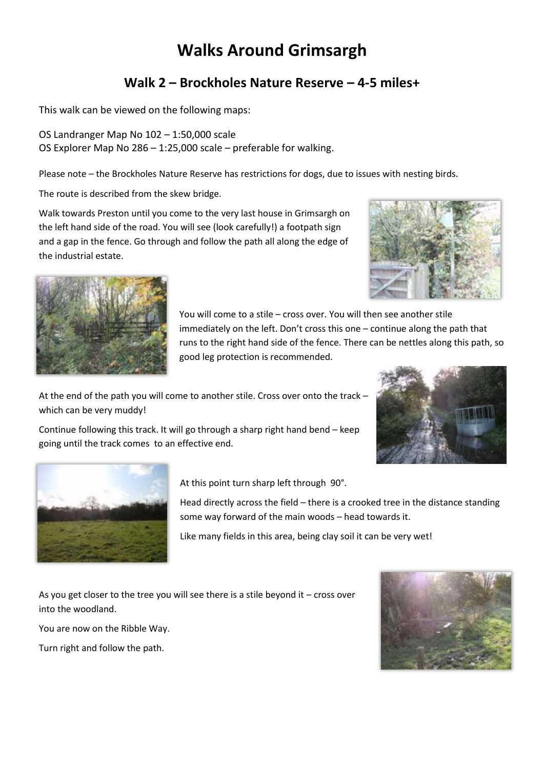## **Walks Around Grimsargh**

## **Walk 2 – Brockholes Nature Reserve – 4-5 miles+**

This walk can be viewed on the following maps:

OS Landranger Map No 102 – 1:50,000 scale OS Explorer Map No 286 – 1:25,000 scale – preferable for walking.

Please note – the Brockholes Nature Reserve has restrictions for dogs, due to issues with nesting birds.

The route is described from the skew bridge.

Walk towards Preston until you come to the very last house in Grimsargh on the left hand side of the road. You will see (look carefully!) a footpath sign and a gap in the fence. Go through and follow the path all along the edge of the industrial estate.





You will come to a stile – cross over. You will then see another stile immediately on the left. Don't cross this one – continue along the path that runs to the right hand side of the fence. There can be nettles along this path, so good leg protection is recommended.

At the end of the path you will come to another stile. Cross over onto the track – which can be very muddy!

Continue following this track. It will go through a sharp right hand bend – keep going until the track comes to an effective end.





At this point turn sharp left through 90°.

Head directly across the field – there is a crooked tree in the distance standing some way forward of the main woods – head towards it.

Like many fields in this area, being clay soil it can be very wet!

As you get closer to the tree you will see there is a stile beyond it – cross over into the woodland.

You are now on the Ribble Way.

Turn right and follow the path.

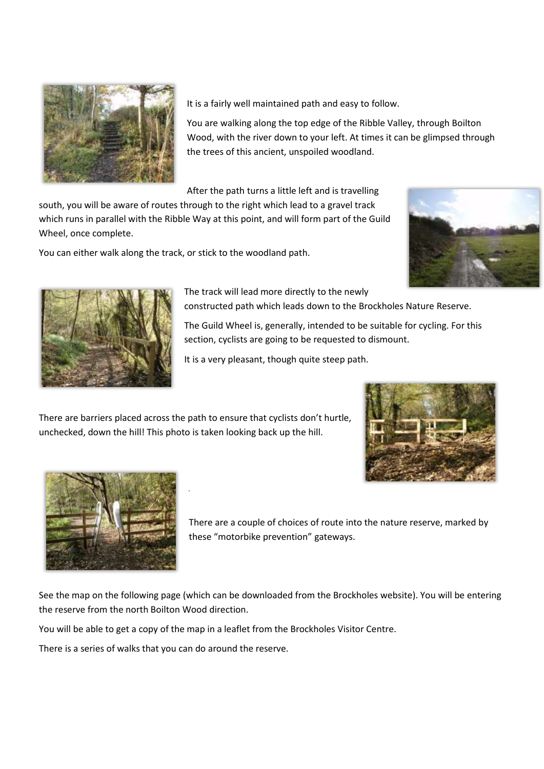

It is a fairly well maintained path and easy to follow.

You are walking along the top edge of the Ribble Valley, through Boilton Wood, with the river down to your left. At times it can be glimpsed through the trees of this ancient, unspoiled woodland.

After the path turns a little left and is travelling

south, you will be aware of routes through to the right which lead to a gravel track which runs in parallel with the Ribble Way at this point, and will form part of the Guild Wheel, once complete.

You can either walk along the track, or stick to the woodland path.





The track will lead more directly to the newly constructed path which leads down to the Brockholes Nature Reserve.

The Guild Wheel is, generally, intended to be suitable for cycling. For this section, cyclists are going to be requested to dismount.

It is a very pleasant, though quite steep path.

There are barriers placed across the path to ensure that cyclists don't hurtle, unchecked, down the hill! This photo is taken looking back up the hill.





There are a couple of choices of route into the nature reserve, marked by these "motorbike prevention" gateways.

See the map on the following page (which can be downloaded from the Brockholes website). You will be entering the reserve from the north Boilton Wood direction.

You will be able to get a copy of the map in a leaflet from the Brockholes Visitor Centre.

There is a series of walks that you can do around the reserve.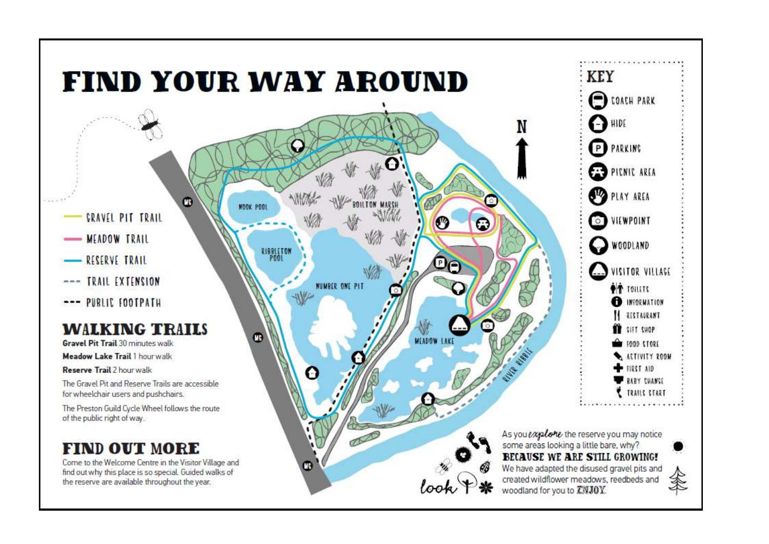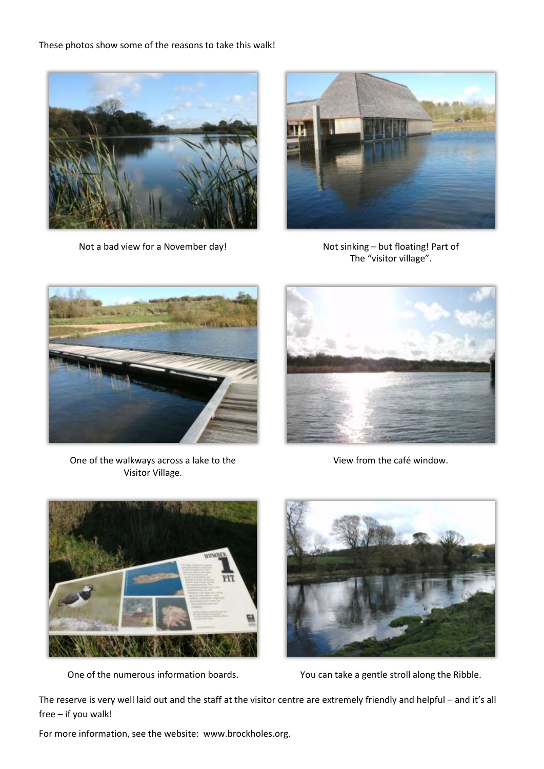These photos show some of the reasons to take this walk!



Not a bad view for a November day! Not sinking – but floating! Part of



The "visitor village".



One of the walkways across a lake to the Visitor Village.



View from the café window.





One of the numerous information boards. You can take a gentle stroll along the Ribble.

The reserve is very well laid out and the staff at the visitor centre are extremely friendly and helpful – and it's all free – if you walk!

For more information, see the website: www.brockholes.org.